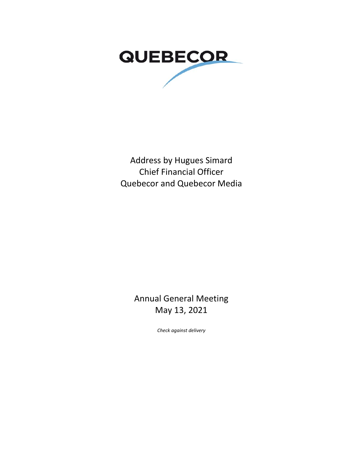

Address by Hugues Simard Chief Financial Officer Quebecor and Quebecor Media

> Annual General Meeting May 13, 2021

> > *Check against delivery*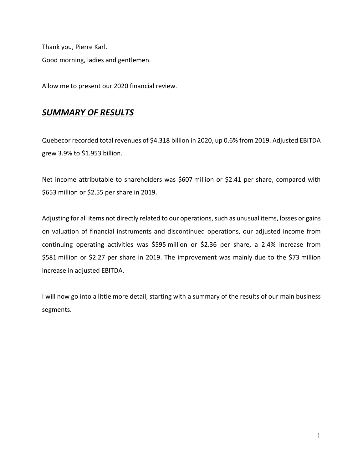Thank you, Pierre Karl. Good morning, ladies and gentlemen.

Allow me to present our 2020 financial review.

## *SUMMARY OF RESULTS*

Quebecor recorded total revenues of \$4.318 billion in 2020, up 0.6% from 2019. Adjusted EBITDA grew 3.9% to \$1.953 billion.

Net income attributable to shareholders was \$607 million or \$2.41 per share, compared with \$653 million or \$2.55 per share in 2019.

Adjusting for all items not directly related to our operations, such as unusual items, losses or gains on valuation of financial instruments and discontinued operations, our adjusted income from continuing operating activities was \$595 million or \$2.36 per share, a 2.4% increase from \$581 million or \$2.27 per share in 2019. The improvement was mainly due to the \$73 million increase in adjusted EBITDA.

I will now go into a little more detail, starting with a summary of the results of our main business segments.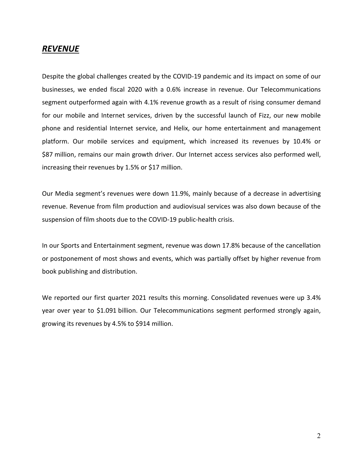#### *REVENUE*

Despite the global challenges created by the COVID-19 pandemic and its impact on some of our businesses, we ended fiscal 2020 with a 0.6% increase in revenue. Our Telecommunications segment outperformed again with 4.1% revenue growth as a result of rising consumer demand for our mobile and Internet services, driven by the successful launch of Fizz, our new mobile phone and residential Internet service, and Helix, our home entertainment and management platform. Our mobile services and equipment, which increased its revenues by 10.4% or \$87 million, remains our main growth driver. Our Internet access services also performed well, increasing their revenues by 1.5% or \$17 million.

Our Media segment's revenues were down 11.9%, mainly because of a decrease in advertising revenue. Revenue from film production and audiovisual services was also down because of the suspension of film shoots due to the COVID-19 public-health crisis.

In our Sports and Entertainment segment, revenue was down 17.8% because of the cancellation or postponement of most shows and events, which was partially offset by higher revenue from book publishing and distribution.

We reported our first quarter 2021 results this morning. Consolidated revenues were up 3.4% year over year to \$1.091 billion. Our Telecommunications segment performed strongly again, growing its revenues by 4.5% to \$914 million.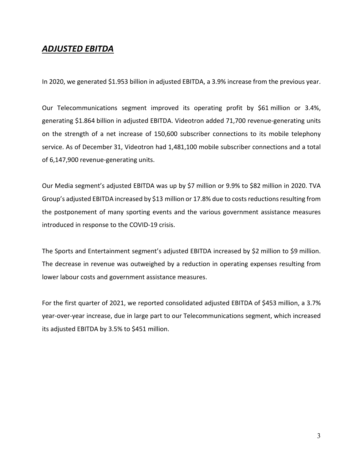#### *ADJUSTED EBITDA*

In 2020, we generated \$1.953 billion in adjusted EBITDA, a 3.9% increase from the previous year.

Our Telecommunications segment improved its operating profit by \$61 million or 3.4%, generating \$1.864 billion in adjusted EBITDA. Videotron added 71,700 revenue-generating units on the strength of a net increase of 150,600 subscriber connections to its mobile telephony service. As of December 31, Videotron had 1,481,100 mobile subscriber connections and a total of 6,147,900 revenue-generating units.

Our Media segment's adjusted EBITDA was up by \$7 million or 9.9% to \$82 million in 2020. TVA Group's adjusted EBITDA increased by \$13 million or 17.8% due to costsreductions resulting from the postponement of many sporting events and the various government assistance measures introduced in response to the COVID-19 crisis.

The Sports and Entertainment segment's adjusted EBITDA increased by \$2 million to \$9 million. The decrease in revenue was outweighed by a reduction in operating expenses resulting from lower labour costs and government assistance measures.

For the first quarter of 2021, we reported consolidated adjusted EBITDA of \$453 million, a 3.7% year-over-year increase, due in large part to our Telecommunications segment, which increased its adjusted EBITDA by 3.5% to \$451 million.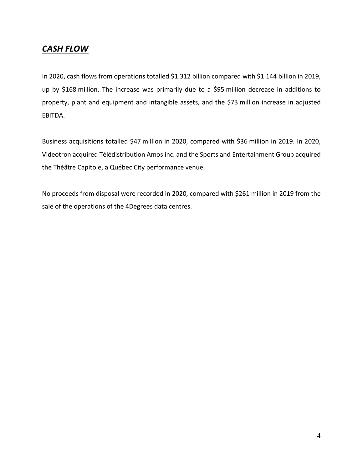# *CASH FLOW*

In 2020, cash flows from operations totalled \$1.312 billion compared with \$1.144 billion in 2019, up by \$168 million. The increase was primarily due to a \$95 million decrease in additions to property, plant and equipment and intangible assets, and the \$73 million increase in adjusted EBITDA.

Business acquisitions totalled \$47 million in 2020, compared with \$36 million in 2019. In 2020, Videotron acquired Télédistribution Amos inc. and the Sports and Entertainment Group acquired the Théâtre Capitole, a Québec City performance venue.

No proceeds from disposal were recorded in 2020, compared with \$261 million in 2019 from the sale of the operations of the 4Degrees data centres.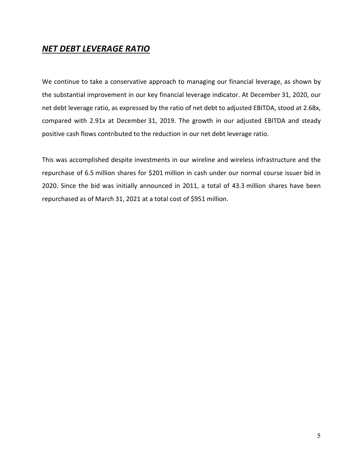### *NET DEBT LEVERAGE RATIO*

We continue to take a conservative approach to managing our financial leverage, as shown by the substantial improvement in our key financial leverage indicator. At December 31, 2020, our net debt leverage ratio, as expressed by the ratio of net debt to adjusted EBITDA, stood at 2.68x, compared with 2.91x at December 31, 2019. The growth in our adjusted EBITDA and steady positive cash flows contributed to the reduction in our net debt leverage ratio.

This was accomplished despite investments in our wireline and wireless infrastructure and the repurchase of 6.5 million shares for \$201 million in cash under our normal course issuer bid in 2020. Since the bid was initially announced in 2011, a total of 43.3 million shares have been repurchased as of March 31, 2021 at a total cost of \$951 million.